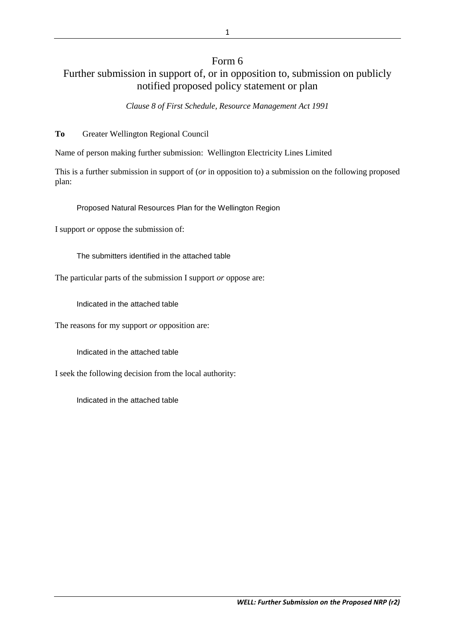## Form 6 Further submission in support of, or in opposition to, submission on publicly notified proposed policy statement or plan

*Clause 8 of First Schedule, Resource Management Act 1991*

**To** Greater Wellington Regional Council

Name of person making further submission: Wellington Electricity Lines Limited

This is a further submission in support of (*or* in opposition to) a submission on the following proposed plan:

Proposed Natural Resources Plan for the Wellington Region

I support *or* oppose the submission of:

The submitters identified in the attached table

The particular parts of the submission I support *or* oppose are:

Indicated in the attached table

The reasons for my support *or* opposition are:

Indicated in the attached table

I seek the following decision from the local authority:

Indicated in the attached table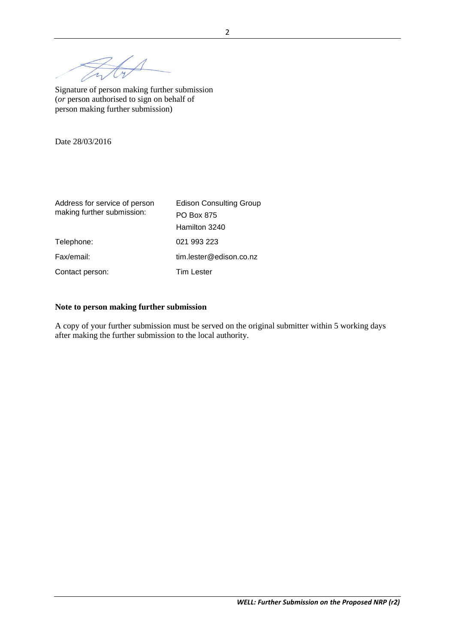$\overline{\mathcal{A}}$ 

Signature of person making further submission (*or* person authorised to sign on behalf of person making further submission)

Date 28/03/2016

| Address for service of person | <b>Edison Consulting Group</b> |  |  |
|-------------------------------|--------------------------------|--|--|
| making further submission:    | <b>PO Box 875</b>              |  |  |
|                               | Hamilton 3240                  |  |  |
| Telephone:                    | 021 993 223                    |  |  |
| Fax/email:                    | tim.lester@edison.co.nz        |  |  |
| Contact person:               | <b>Tim Lester</b>              |  |  |

## **Note to person making further submission**

A copy of your further submission must be served on the original submitter within 5 working days after making the further submission to the local authority.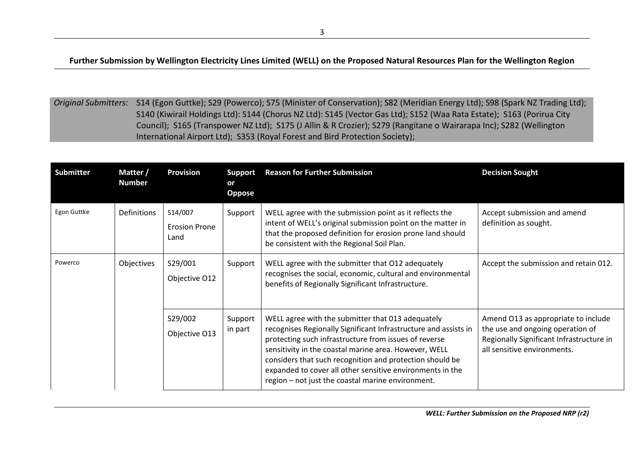**Further Submission by Wellington Electricity Lines Limited (WELL) on the Proposed Natural Resources Plan for the Wellington Region**

*Original Submitters:* S14 (Egon Guttke); S29 (Powerco); S75 (Minister of Conservation); S82 (Meridian Energy Ltd); S98 (Spark NZ Trading Ltd); S140 (Kiwirail Holdings Ltd): S144 (Chorus NZ Ltd): S145 (Vector Gas Ltd); S152 (Waa Rata Estate); S163 (Porirua City Council); S165 (Transpower NZ Ltd); S175 (J Allin & R Crozier); S279 (Rangitane o Wairarapa Inc); S282 (Wellington International Airport Ltd); S353 (Royal Forest and Bird Protection Society);

| <b>Submitter</b> | Matter /<br><b>Number</b> | <b>Provision</b>                        | <b>Support</b><br>or<br><b>Oppose</b> | <b>Reason for Further Submission</b>                                                                                                                                                                                                                                                                                                                                                                                 | <b>Decision Sought</b>                                                                                                                             |
|------------------|---------------------------|-----------------------------------------|---------------------------------------|----------------------------------------------------------------------------------------------------------------------------------------------------------------------------------------------------------------------------------------------------------------------------------------------------------------------------------------------------------------------------------------------------------------------|----------------------------------------------------------------------------------------------------------------------------------------------------|
| Egon Guttke      | Definitions               | S14/007<br><b>Erosion Prone</b><br>Land | Support                               | WELL agree with the submission point as it reflects the<br>intent of WELL's original submission point on the matter in<br>that the proposed definition for erosion prone land should<br>be consistent with the Regional Soil Plan.                                                                                                                                                                                   | Accept submission and amend<br>definition as sought.                                                                                               |
| Powerco          | Objectives                | S29/001<br>Objective O12                | Support                               | WELL agree with the submitter that O12 adequately<br>recognises the social, economic, cultural and environmental<br>benefits of Regionally Significant Infrastructure.                                                                                                                                                                                                                                               | Accept the submission and retain 012.                                                                                                              |
|                  |                           | S29/002<br>Objective O13                | Support<br>in part                    | WELL agree with the submitter that 013 adequately<br>recognises Regionally Significant Infrastructure and assists in<br>protecting such infrastructure from issues of reverse<br>sensitivity in the coastal marine area. However, WELL<br>considers that such recognition and protection should be<br>expanded to cover all other sensitive environments in the<br>region - not just the coastal marine environment. | Amend O13 as appropriate to include<br>the use and ongoing operation of<br>Regionally Significant Infrastructure in<br>all sensitive environments. |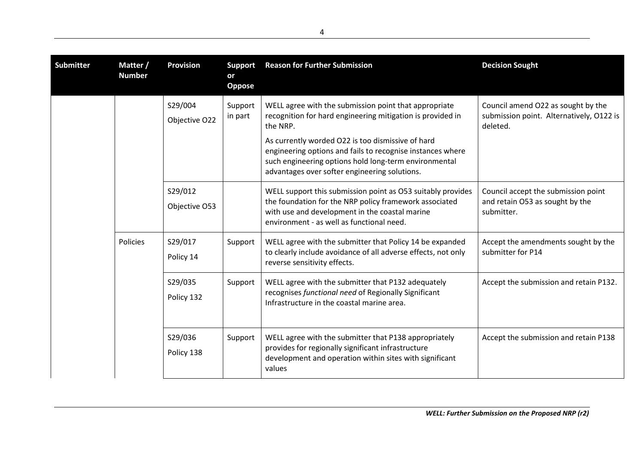| <b>Submitter</b> | Matter /<br><b>Number</b> | <b>Provision</b>         | <b>Support</b><br>or<br><b>Oppose</b> | <b>Reason for Further Submission</b>                                                                                                                                                                                      | <b>Decision Sought</b>                                                                     |
|------------------|---------------------------|--------------------------|---------------------------------------|---------------------------------------------------------------------------------------------------------------------------------------------------------------------------------------------------------------------------|--------------------------------------------------------------------------------------------|
|                  |                           | S29/004<br>Objective O22 | Support<br>in part                    | WELL agree with the submission point that appropriate<br>recognition for hard engineering mitigation is provided in<br>the NRP.                                                                                           | Council amend O22 as sought by the<br>submission point. Alternatively, O122 is<br>deleted. |
|                  |                           |                          |                                       | As currently worded O22 is too dismissive of hard<br>engineering options and fails to recognise instances where<br>such engineering options hold long-term environmental<br>advantages over softer engineering solutions. |                                                                                            |
|                  |                           | S29/012<br>Objective O53 |                                       | WELL support this submission point as O53 suitably provides<br>the foundation for the NRP policy framework associated<br>with use and development in the coastal marine<br>environment - as well as functional need.      | Council accept the submission point<br>and retain O53 as sought by the<br>submitter.       |
|                  | Policies                  | S29/017<br>Policy 14     | Support                               | WELL agree with the submitter that Policy 14 be expanded<br>to clearly include avoidance of all adverse effects, not only<br>reverse sensitivity effects.                                                                 | Accept the amendments sought by the<br>submitter for P14                                   |
|                  |                           | S29/035<br>Policy 132    | Support                               | WELL agree with the submitter that P132 adequately<br>recognises functional need of Regionally Significant<br>Infrastructure in the coastal marine area.                                                                  | Accept the submission and retain P132.                                                     |
|                  |                           | S29/036<br>Policy 138    | Support                               | WELL agree with the submitter that P138 appropriately<br>provides for regionally significant infrastructure<br>development and operation within sites with significant<br>values                                          | Accept the submission and retain P138                                                      |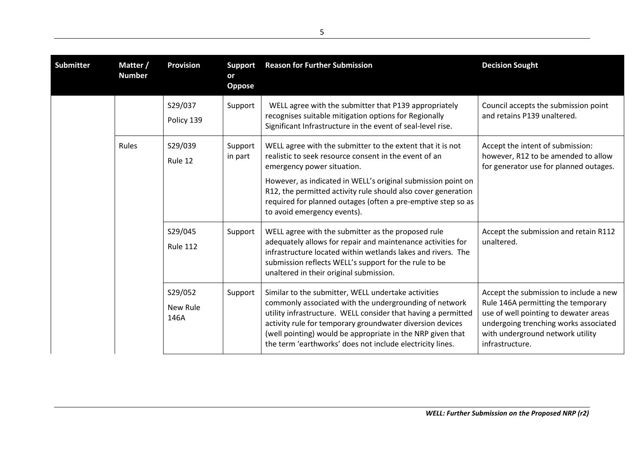| <b>Submitter</b> | Matter /<br><b>Number</b> | <b>Provision</b>            | <b>Support</b><br>or<br><b>Oppose</b> | <b>Reason for Further Submission</b>                                                                                                                                                                                                                                                                                                                                              | <b>Decision Sought</b>                                                                                                                                                                                                |
|------------------|---------------------------|-----------------------------|---------------------------------------|-----------------------------------------------------------------------------------------------------------------------------------------------------------------------------------------------------------------------------------------------------------------------------------------------------------------------------------------------------------------------------------|-----------------------------------------------------------------------------------------------------------------------------------------------------------------------------------------------------------------------|
|                  |                           | S29/037<br>Policy 139       | Support                               | WELL agree with the submitter that P139 appropriately<br>recognises suitable mitigation options for Regionally<br>Significant Infrastructure in the event of seal-level rise.                                                                                                                                                                                                     | Council accepts the submission point<br>and retains P139 unaltered.                                                                                                                                                   |
|                  | <b>Rules</b>              | S29/039<br>Rule 12          | Support<br>in part                    | WELL agree with the submitter to the extent that it is not<br>realistic to seek resource consent in the event of an<br>emergency power situation.<br>However, as indicated in WELL's original submission point on<br>R12, the permitted activity rule should also cover generation<br>required for planned outages (often a pre-emptive step so as<br>to avoid emergency events). | Accept the intent of submission:<br>however, R12 to be amended to allow<br>for generator use for planned outages.                                                                                                     |
|                  |                           | S29/045<br><b>Rule 112</b>  | Support                               | WELL agree with the submitter as the proposed rule<br>adequately allows for repair and maintenance activities for<br>infrastructure located within wetlands lakes and rivers. The<br>submission reflects WELL's support for the rule to be<br>unaltered in their original submission.                                                                                             | Accept the submission and retain R112<br>unaltered.                                                                                                                                                                   |
|                  |                           | S29/052<br>New Rule<br>146A | Support                               | Similar to the submitter, WELL undertake activities<br>commonly associated with the undergrounding of network<br>utility infrastructure. WELL consider that having a permitted<br>activity rule for temporary groundwater diversion devices<br>(well pointing) would be appropriate in the NRP given that<br>the term 'earthworks' does not include electricity lines.            | Accept the submission to include a new<br>Rule 146A permitting the temporary<br>use of well pointing to dewater areas<br>undergoing trenching works associated<br>with underground network utility<br>infrastructure. |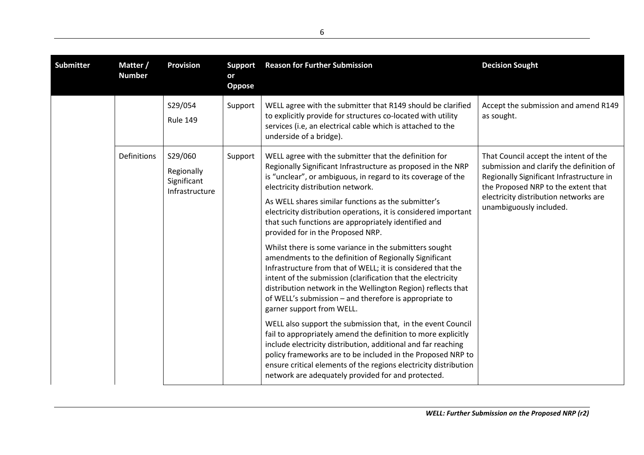| <b>Submitter</b> | Matter /<br><b>Number</b> | <b>Provision</b>                                       | <b>Support</b><br>or<br>Oppose | <b>Reason for Further Submission</b>                                                                                                                                                                                                                                                                                                                                                                                                                                                                                                                                                                                                                                                                                                                                                                                                                                                                                                                                                                                                                                                                                                                                                                                                                  | <b>Decision Sought</b>                                                                                                                                                                                                                   |
|------------------|---------------------------|--------------------------------------------------------|--------------------------------|-------------------------------------------------------------------------------------------------------------------------------------------------------------------------------------------------------------------------------------------------------------------------------------------------------------------------------------------------------------------------------------------------------------------------------------------------------------------------------------------------------------------------------------------------------------------------------------------------------------------------------------------------------------------------------------------------------------------------------------------------------------------------------------------------------------------------------------------------------------------------------------------------------------------------------------------------------------------------------------------------------------------------------------------------------------------------------------------------------------------------------------------------------------------------------------------------------------------------------------------------------|------------------------------------------------------------------------------------------------------------------------------------------------------------------------------------------------------------------------------------------|
|                  |                           | S29/054<br><b>Rule 149</b>                             | Support                        | WELL agree with the submitter that R149 should be clarified<br>to explicitly provide for structures co-located with utility<br>services (i.e, an electrical cable which is attached to the<br>underside of a bridge).                                                                                                                                                                                                                                                                                                                                                                                                                                                                                                                                                                                                                                                                                                                                                                                                                                                                                                                                                                                                                                 | Accept the submission and amend R149<br>as sought.                                                                                                                                                                                       |
|                  | Definitions               | S29/060<br>Regionally<br>Significant<br>Infrastructure | Support                        | WELL agree with the submitter that the definition for<br>Regionally Significant Infrastructure as proposed in the NRP<br>is "unclear", or ambiguous, in regard to its coverage of the<br>electricity distribution network.<br>As WELL shares similar functions as the submitter's<br>electricity distribution operations, it is considered important<br>that such functions are appropriately identified and<br>provided for in the Proposed NRP.<br>Whilst there is some variance in the submitters sought<br>amendments to the definition of Regionally Significant<br>Infrastructure from that of WELL; it is considered that the<br>intent of the submission (clarification that the electricity<br>distribution network in the Wellington Region) reflects that<br>of WELL's submission - and therefore is appropriate to<br>garner support from WELL.<br>WELL also support the submission that, in the event Council<br>fail to appropriately amend the definition to more explicitly<br>include electricity distribution, additional and far reaching<br>policy frameworks are to be included in the Proposed NRP to<br>ensure critical elements of the regions electricity distribution<br>network are adequately provided for and protected. | That Council accept the intent of the<br>submission and clarify the definition of<br>Regionally Significant Infrastructure in<br>the Proposed NRP to the extent that<br>electricity distribution networks are<br>unambiguously included. |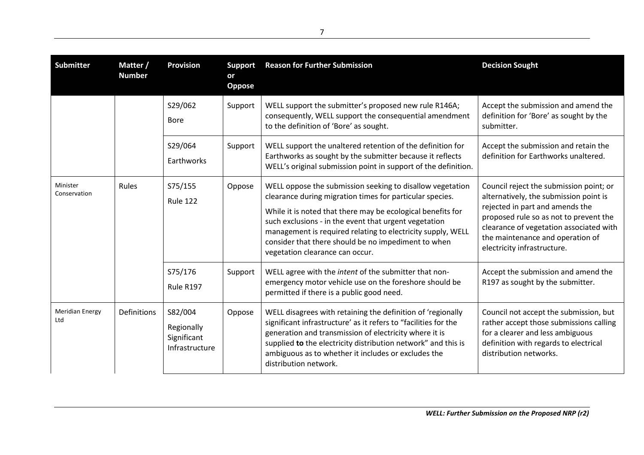| <b>Submitter</b>              | Matter /<br><b>Number</b> | <b>Provision</b>                                       | <b>Support</b><br>or<br>Oppose | <b>Reason for Further Submission</b>                                                                                                                                                                                                                                                                                                                                                                   | <b>Decision Sought</b>                                                                                                                                                                                                                                                       |
|-------------------------------|---------------------------|--------------------------------------------------------|--------------------------------|--------------------------------------------------------------------------------------------------------------------------------------------------------------------------------------------------------------------------------------------------------------------------------------------------------------------------------------------------------------------------------------------------------|------------------------------------------------------------------------------------------------------------------------------------------------------------------------------------------------------------------------------------------------------------------------------|
|                               |                           | S29/062<br><b>Bore</b>                                 | Support                        | WELL support the submitter's proposed new rule R146A;<br>consequently, WELL support the consequential amendment<br>to the definition of 'Bore' as sought.                                                                                                                                                                                                                                              | Accept the submission and amend the<br>definition for 'Bore' as sought by the<br>submitter.                                                                                                                                                                                  |
|                               |                           | S29/064<br>Earthworks                                  | Support                        | WELL support the unaltered retention of the definition for<br>Earthworks as sought by the submitter because it reflects<br>WELL's original submission point in support of the definition.                                                                                                                                                                                                              | Accept the submission and retain the<br>definition for Earthworks unaltered.                                                                                                                                                                                                 |
| Minister<br>Conservation      | Rules                     | S75/155<br><b>Rule 122</b>                             | Oppose                         | WELL oppose the submission seeking to disallow vegetation<br>clearance during migration times for particular species.<br>While it is noted that there may be ecological benefits for<br>such exclusions - in the event that urgent vegetation<br>management is required relating to electricity supply, WELL<br>consider that there should be no impediment to when<br>vegetation clearance can occur. | Council reject the submission point; or<br>alternatively, the submission point is<br>rejected in part and amends the<br>proposed rule so as not to prevent the<br>clearance of vegetation associated with<br>the maintenance and operation of<br>electricity infrastructure. |
|                               |                           | S75/176<br>Rule R197                                   | Support                        | WELL agree with the intent of the submitter that non-<br>emergency motor vehicle use on the foreshore should be<br>permitted if there is a public good need.                                                                                                                                                                                                                                           | Accept the submission and amend the<br>R197 as sought by the submitter.                                                                                                                                                                                                      |
| <b>Meridian Energy</b><br>Ltd | Definitions               | S82/004<br>Regionally<br>Significant<br>Infrastructure | Oppose                         | WELL disagrees with retaining the definition of 'regionally<br>significant infrastructure' as it refers to "facilities for the<br>generation and transmission of electricity where it is<br>supplied to the electricity distribution network" and this is<br>ambiguous as to whether it includes or excludes the<br>distribution network.                                                              | Council not accept the submission, but<br>rather accept those submissions calling<br>for a clearer and less ambiguous<br>definition with regards to electrical<br>distribution networks.                                                                                     |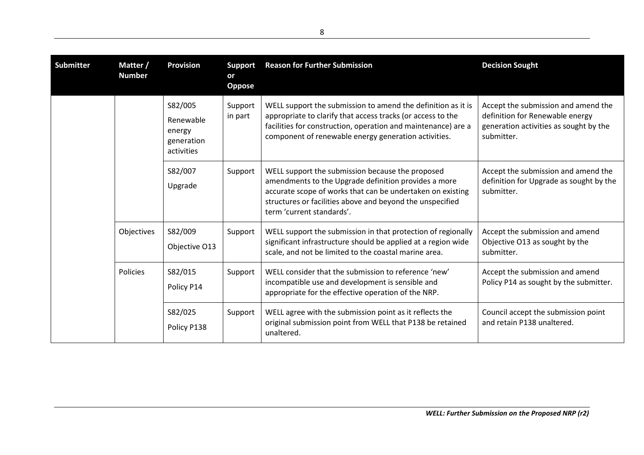| <b>Submitter</b> | Matter /<br><b>Number</b> | <b>Provision</b>                                           | <b>Support</b><br>or<br><b>Oppose</b> | <b>Reason for Further Submission</b>                                                                                                                                                                                                                             | <b>Decision Sought</b>                                                                                                         |
|------------------|---------------------------|------------------------------------------------------------|---------------------------------------|------------------------------------------------------------------------------------------------------------------------------------------------------------------------------------------------------------------------------------------------------------------|--------------------------------------------------------------------------------------------------------------------------------|
|                  |                           | S82/005<br>Renewable<br>energy<br>generation<br>activities | Support<br>in part                    | WELL support the submission to amend the definition as it is<br>appropriate to clarify that access tracks (or access to the<br>facilities for construction, operation and maintenance) are a<br>component of renewable energy generation activities.             | Accept the submission and amend the<br>definition for Renewable energy<br>generation activities as sought by the<br>submitter. |
|                  |                           | S82/007<br>Upgrade                                         | Support                               | WELL support the submission because the proposed<br>amendments to the Upgrade definition provides a more<br>accurate scope of works that can be undertaken on existing<br>structures or facilities above and beyond the unspecified<br>term 'current standards'. | Accept the submission and amend the<br>definition for Upgrade as sought by the<br>submitter.                                   |
|                  | Objectives                | S82/009<br>Objective O13                                   | Support                               | WELL support the submission in that protection of regionally<br>significant infrastructure should be applied at a region wide<br>scale, and not be limited to the coastal marine area.                                                                           | Accept the submission and amend<br>Objective O13 as sought by the<br>submitter.                                                |
|                  | <b>Policies</b>           | S82/015<br>Policy P14                                      | Support                               | WELL consider that the submission to reference 'new'<br>incompatible use and development is sensible and<br>appropriate for the effective operation of the NRP.                                                                                                  | Accept the submission and amend<br>Policy P14 as sought by the submitter.                                                      |
|                  |                           | S82/025<br>Policy P138                                     | Support                               | WELL agree with the submission point as it reflects the<br>original submission point from WELL that P138 be retained<br>unaltered.                                                                                                                               | Council accept the submission point<br>and retain P138 unaltered.                                                              |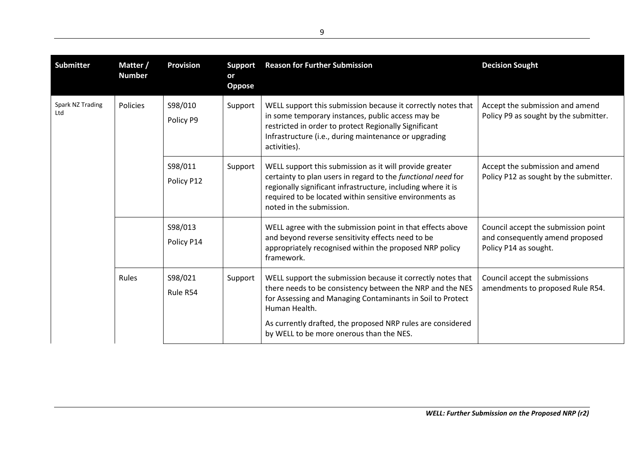| <b>Submitter</b>        | Matter /<br><b>Number</b> | <b>Provision</b>      | <b>Support</b><br>or<br><b>Oppose</b> | <b>Reason for Further Submission</b>                                                                                                                                                                                                                                                                               | <b>Decision Sought</b>                                                                          |
|-------------------------|---------------------------|-----------------------|---------------------------------------|--------------------------------------------------------------------------------------------------------------------------------------------------------------------------------------------------------------------------------------------------------------------------------------------------------------------|-------------------------------------------------------------------------------------------------|
| Spark NZ Trading<br>Ltd | Policies                  | S98/010<br>Policy P9  | Support                               | WELL support this submission because it correctly notes that<br>in some temporary instances, public access may be<br>restricted in order to protect Regionally Significant<br>Infrastructure (i.e., during maintenance or upgrading<br>activities).                                                                | Accept the submission and amend<br>Policy P9 as sought by the submitter.                        |
|                         |                           | S98/011<br>Policy P12 | Support                               | WELL support this submission as it will provide greater<br>certainty to plan users in regard to the functional need for<br>regionally significant infrastructure, including where it is<br>required to be located within sensitive environments as<br>noted in the submission.                                     | Accept the submission and amend<br>Policy P12 as sought by the submitter.                       |
|                         |                           | S98/013<br>Policy P14 |                                       | WELL agree with the submission point in that effects above<br>and beyond reverse sensitivity effects need to be<br>appropriately recognised within the proposed NRP policy<br>framework.                                                                                                                           | Council accept the submission point<br>and consequently amend proposed<br>Policy P14 as sought. |
|                         | Rules                     | S98/021<br>Rule R54   | Support                               | WELL support the submission because it correctly notes that<br>there needs to be consistency between the NRP and the NES<br>for Assessing and Managing Contaminants in Soil to Protect<br>Human Health.<br>As currently drafted, the proposed NRP rules are considered<br>by WELL to be more onerous than the NES. | Council accept the submissions<br>amendments to proposed Rule R54.                              |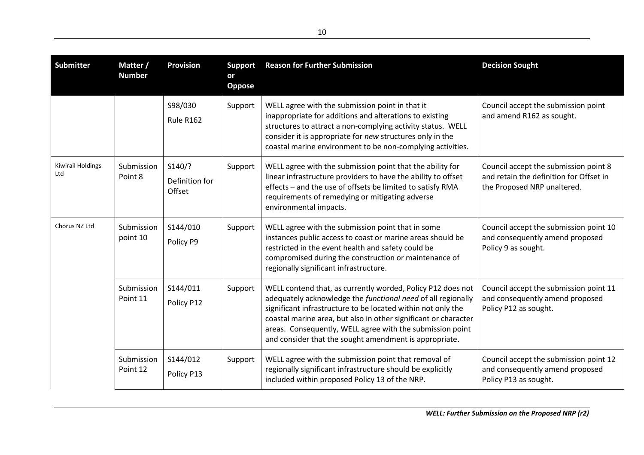| <b>Submitter</b>                | Matter /<br><b>Number</b> | <b>Provision</b>                   | <b>Support</b><br>or<br>Oppose | <b>Reason for Further Submission</b>                                                                                                                                                                                                                                                                                                                                                  | <b>Decision Sought</b>                                                                                          |
|---------------------------------|---------------------------|------------------------------------|--------------------------------|---------------------------------------------------------------------------------------------------------------------------------------------------------------------------------------------------------------------------------------------------------------------------------------------------------------------------------------------------------------------------------------|-----------------------------------------------------------------------------------------------------------------|
|                                 |                           | S98/030<br><b>Rule R162</b>        | Support                        | WELL agree with the submission point in that it<br>inappropriate for additions and alterations to existing<br>structures to attract a non-complying activity status. WELL<br>consider it is appropriate for new structures only in the<br>coastal marine environment to be non-complying activities.                                                                                  | Council accept the submission point<br>and amend R162 as sought.                                                |
| <b>Kiwirail Holdings</b><br>Ltd | Submission<br>Point 8     | S140/?<br>Definition for<br>Offset | Support                        | WELL agree with the submission point that the ability for<br>linear infrastructure providers to have the ability to offset<br>effects - and the use of offsets be limited to satisfy RMA<br>requirements of remedying or mitigating adverse<br>environmental impacts.                                                                                                                 | Council accept the submission point 8<br>and retain the definition for Offset in<br>the Proposed NRP unaltered. |
| Chorus NZ Ltd                   | Submission<br>point 10    | S144/010<br>Policy P9              | Support                        | WELL agree with the submission point that in some<br>instances public access to coast or marine areas should be<br>restricted in the event health and safety could be<br>compromised during the construction or maintenance of<br>regionally significant infrastructure.                                                                                                              | Council accept the submission point 10<br>and consequently amend proposed<br>Policy 9 as sought.                |
|                                 | Submission<br>Point 11    | S144/011<br>Policy P12             | Support                        | WELL contend that, as currently worded, Policy P12 does not<br>adequately acknowledge the functional need of all regionally<br>significant infrastructure to be located within not only the<br>coastal marine area, but also in other significant or character<br>areas. Consequently, WELL agree with the submission point<br>and consider that the sought amendment is appropriate. | Council accept the submission point 11<br>and consequently amend proposed<br>Policy P12 as sought.              |
|                                 | Submission<br>Point 12    | S144/012<br>Policy P13             | Support                        | WELL agree with the submission point that removal of<br>regionally significant infrastructure should be explicitly<br>included within proposed Policy 13 of the NRP.                                                                                                                                                                                                                  | Council accept the submission point 12<br>and consequently amend proposed<br>Policy P13 as sought.              |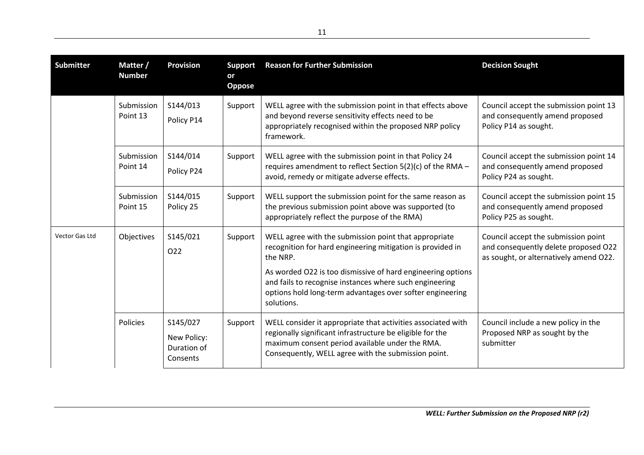| <b>Submitter</b> | Matter /<br><b>Number</b> | <b>Provision</b>                                   | <b>Support</b><br>or<br>Oppose | <b>Reason for Further Submission</b>                                                                                                                                                                                                                                                                                                 | <b>Decision Sought</b>                                                                                                |
|------------------|---------------------------|----------------------------------------------------|--------------------------------|--------------------------------------------------------------------------------------------------------------------------------------------------------------------------------------------------------------------------------------------------------------------------------------------------------------------------------------|-----------------------------------------------------------------------------------------------------------------------|
|                  | Submission<br>Point 13    | S144/013<br>Policy P14                             | Support                        | WELL agree with the submission point in that effects above<br>and beyond reverse sensitivity effects need to be<br>appropriately recognised within the proposed NRP policy<br>framework.                                                                                                                                             | Council accept the submission point 13<br>and consequently amend proposed<br>Policy P14 as sought.                    |
|                  | Submission<br>Point 14    | S144/014<br>Policy P24                             | Support                        | WELL agree with the submission point in that Policy 24<br>requires amendment to reflect Section 5(2)(c) of the RMA -<br>avoid, remedy or mitigate adverse effects.                                                                                                                                                                   | Council accept the submission point 14<br>and consequently amend proposed<br>Policy P24 as sought.                    |
|                  | Submission<br>Point 15    | S144/015<br>Policy 25                              | Support                        | WELL support the submission point for the same reason as<br>the previous submission point above was supported (to<br>appropriately reflect the purpose of the RMA)                                                                                                                                                                   | Council accept the submission point 15<br>and consequently amend proposed<br>Policy P25 as sought.                    |
| Vector Gas Ltd   | Objectives                | S145/021<br>O22                                    | Support                        | WELL agree with the submission point that appropriate<br>recognition for hard engineering mitigation is provided in<br>the NRP.<br>As worded O22 is too dismissive of hard engineering options<br>and fails to recognise instances where such engineering<br>options hold long-term advantages over softer engineering<br>solutions. | Council accept the submission point<br>and consequently delete proposed O22<br>as sought, or alternatively amend O22. |
|                  | Policies                  | S145/027<br>New Policy:<br>Duration of<br>Consents | Support                        | WELL consider it appropriate that activities associated with<br>regionally significant infrastructure be eligible for the<br>maximum consent period available under the RMA.<br>Consequently, WELL agree with the submission point.                                                                                                  | Council include a new policy in the<br>Proposed NRP as sought by the<br>submitter                                     |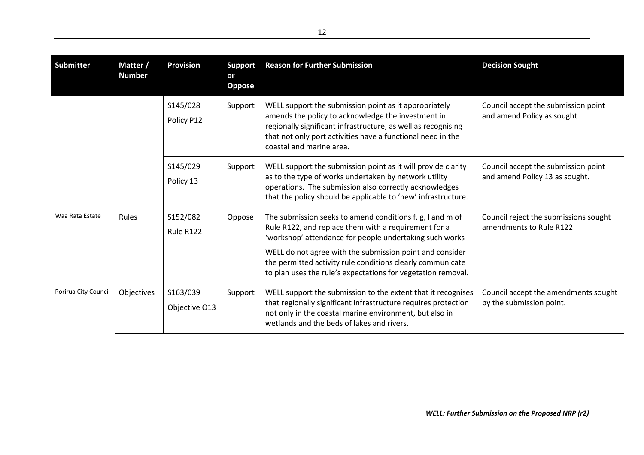| <b>Submitter</b>     | Matter /<br><b>Number</b> | <b>Provision</b>          | <b>Support</b><br>or<br><b>Oppose</b> | <b>Reason for Further Submission</b>                                                                                                                                                                                                                                                                                                                                   | <b>Decision Sought</b>                                                |
|----------------------|---------------------------|---------------------------|---------------------------------------|------------------------------------------------------------------------------------------------------------------------------------------------------------------------------------------------------------------------------------------------------------------------------------------------------------------------------------------------------------------------|-----------------------------------------------------------------------|
|                      |                           | S145/028<br>Policy P12    | Support                               | WELL support the submission point as it appropriately<br>amends the policy to acknowledge the investment in<br>regionally significant infrastructure, as well as recognising<br>that not only port activities have a functional need in the<br>coastal and marine area.                                                                                                | Council accept the submission point<br>and amend Policy as sought     |
|                      |                           | S145/029<br>Policy 13     | Support                               | WELL support the submission point as it will provide clarity<br>as to the type of works undertaken by network utility<br>operations. The submission also correctly acknowledges<br>that the policy should be applicable to 'new' infrastructure.                                                                                                                       | Council accept the submission point<br>and amend Policy 13 as sought. |
| Waa Rata Estate      | <b>Rules</b>              | S152/082<br>Rule R122     | Oppose                                | The submission seeks to amend conditions f, g, I and m of<br>Rule R122, and replace them with a requirement for a<br>'workshop' attendance for people undertaking such works<br>WELL do not agree with the submission point and consider<br>the permitted activity rule conditions clearly communicate<br>to plan uses the rule's expectations for vegetation removal. | Council reject the submissions sought<br>amendments to Rule R122      |
| Porirua City Council | Objectives                | S163/039<br>Objective O13 | Support                               | WELL support the submission to the extent that it recognises<br>that regionally significant infrastructure requires protection<br>not only in the coastal marine environment, but also in<br>wetlands and the beds of lakes and rivers.                                                                                                                                | Council accept the amendments sought<br>by the submission point.      |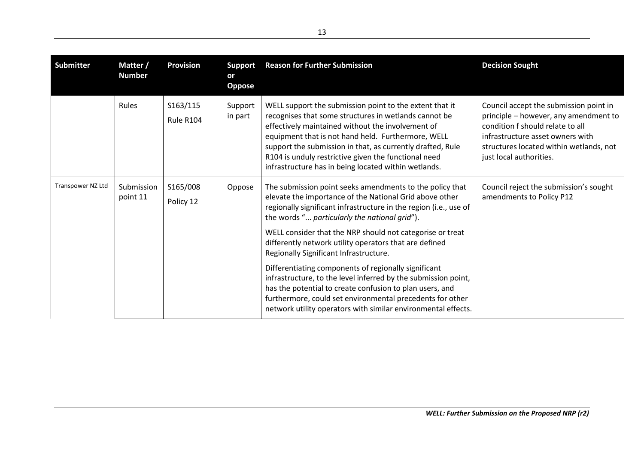| <b>Submitter</b>  | Matter /<br><b>Number</b> | <b>Provision</b>             | <b>Support</b><br>or<br><b>Oppose</b> | <b>Reason for Further Submission</b>                                                                                                                                                                                                                                                                                                                                                                                                                                                                                                                                                                                                                                                                                           | <b>Decision Sought</b>                                                                                                                                                                                                        |
|-------------------|---------------------------|------------------------------|---------------------------------------|--------------------------------------------------------------------------------------------------------------------------------------------------------------------------------------------------------------------------------------------------------------------------------------------------------------------------------------------------------------------------------------------------------------------------------------------------------------------------------------------------------------------------------------------------------------------------------------------------------------------------------------------------------------------------------------------------------------------------------|-------------------------------------------------------------------------------------------------------------------------------------------------------------------------------------------------------------------------------|
|                   | Rules                     | S163/115<br><b>Rule R104</b> | Support<br>in part                    | WELL support the submission point to the extent that it<br>recognises that some structures in wetlands cannot be<br>effectively maintained without the involvement of<br>equipment that is not hand held. Furthermore, WELL<br>support the submission in that, as currently drafted, Rule<br>R104 is unduly restrictive given the functional need<br>infrastructure has in being located within wetlands.                                                                                                                                                                                                                                                                                                                      | Council accept the submission point in<br>principle - however, any amendment to<br>condition f should relate to all<br>infrastructure asset owners with<br>structures located within wetlands, not<br>just local authorities. |
| Transpower NZ Ltd | Submission<br>point 11    | S165/008<br>Policy 12        | Oppose                                | The submission point seeks amendments to the policy that<br>elevate the importance of the National Grid above other<br>regionally significant infrastructure in the region (i.e., use of<br>the words " particularly the national grid").<br>WELL consider that the NRP should not categorise or treat<br>differently network utility operators that are defined<br>Regionally Significant Infrastructure.<br>Differentiating components of regionally significant<br>infrastructure, to the level inferred by the submission point,<br>has the potential to create confusion to plan users, and<br>furthermore, could set environmental precedents for other<br>network utility operators with similar environmental effects. | Council reject the submission's sought<br>amendments to Policy P12                                                                                                                                                            |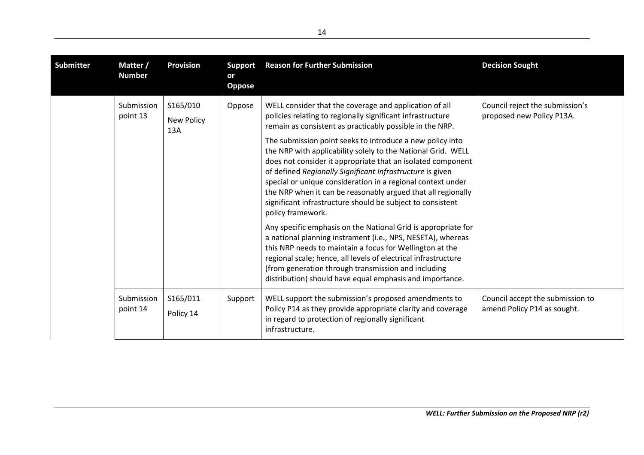| <b>Submitter</b> | Matter /<br><b>Number</b> | <b>Provision</b>              | <b>Support</b><br>or<br><b>Oppose</b> | <b>Reason for Further Submission</b>                                                                                                                                                                                                                                                                                                                                                                                                                                                                                                                                                                                                                                                                                                                                                                                                                                                                                                                                                                                                         | <b>Decision Sought</b>                                          |
|------------------|---------------------------|-------------------------------|---------------------------------------|----------------------------------------------------------------------------------------------------------------------------------------------------------------------------------------------------------------------------------------------------------------------------------------------------------------------------------------------------------------------------------------------------------------------------------------------------------------------------------------------------------------------------------------------------------------------------------------------------------------------------------------------------------------------------------------------------------------------------------------------------------------------------------------------------------------------------------------------------------------------------------------------------------------------------------------------------------------------------------------------------------------------------------------------|-----------------------------------------------------------------|
|                  | Submission<br>point 13    | S165/010<br>New Policy<br>13A | Oppose                                | WELL consider that the coverage and application of all<br>policies relating to regionally significant infrastructure<br>remain as consistent as practicably possible in the NRP.<br>The submission point seeks to introduce a new policy into<br>the NRP with applicability solely to the National Grid. WELL<br>does not consider it appropriate that an isolated component<br>of defined Regionally Significant Infrastructure is given<br>special or unique consideration in a regional context under<br>the NRP when it can be reasonably argued that all regionally<br>significant infrastructure should be subject to consistent<br>policy framework.<br>Any specific emphasis on the National Grid is appropriate for<br>a national planning instrament (i.e., NPS, NESETA), whereas<br>this NRP needs to maintain a focus for Wellington at the<br>regional scale; hence, all levels of electrical infrastructure<br>(from generation through transmission and including<br>distribution) should have equal emphasis and importance. | Council reject the submission's<br>proposed new Policy P13A.    |
|                  | Submission<br>point 14    | S165/011<br>Policy 14         | Support                               | WELL support the submission's proposed amendments to<br>Policy P14 as they provide appropriate clarity and coverage<br>in regard to protection of regionally significant<br>infrastructure.                                                                                                                                                                                                                                                                                                                                                                                                                                                                                                                                                                                                                                                                                                                                                                                                                                                  | Council accept the submission to<br>amend Policy P14 as sought. |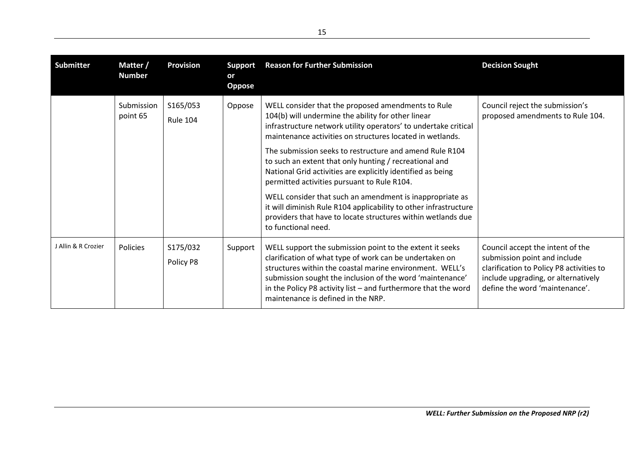| <b>Submitter</b>    | Matter /<br><b>Number</b> | <b>Provision</b>            | <b>Support</b><br>or<br><b>Oppose</b> | <b>Reason for Further Submission</b>                                                                                                                                                                                                                                                                                                                                                                                                                                                                                                                                                                                                                                                               | <b>Decision Sought</b>                                                                                                                                                                |
|---------------------|---------------------------|-----------------------------|---------------------------------------|----------------------------------------------------------------------------------------------------------------------------------------------------------------------------------------------------------------------------------------------------------------------------------------------------------------------------------------------------------------------------------------------------------------------------------------------------------------------------------------------------------------------------------------------------------------------------------------------------------------------------------------------------------------------------------------------------|---------------------------------------------------------------------------------------------------------------------------------------------------------------------------------------|
|                     | Submission<br>point 65    | S165/053<br><b>Rule 104</b> | Oppose                                | WELL consider that the proposed amendments to Rule<br>104(b) will undermine the ability for other linear<br>infrastructure network utility operators' to undertake critical<br>maintenance activities on structures located in wetlands.<br>The submission seeks to restructure and amend Rule R104<br>to such an extent that only hunting / recreational and<br>National Grid activities are explicitly identified as being<br>permitted activities pursuant to Rule R104.<br>WELL consider that such an amendment is inappropriate as<br>it will diminish Rule R104 applicability to other infrastructure<br>providers that have to locate structures within wetlands due<br>to functional need. | Council reject the submission's<br>proposed amendments to Rule 104.                                                                                                                   |
| J Allin & R Crozier | Policies                  | S175/032<br>Policy P8       | Support                               | WELL support the submission point to the extent it seeks<br>clarification of what type of work can be undertaken on<br>structures within the coastal marine environment. WELL's<br>submission sought the inclusion of the word 'maintenance'<br>in the Policy P8 activity list $-$ and furthermore that the word<br>maintenance is defined in the NRP.                                                                                                                                                                                                                                                                                                                                             | Council accept the intent of the<br>submission point and include<br>clarification to Policy P8 activities to<br>include upgrading, or alternatively<br>define the word 'maintenance'. |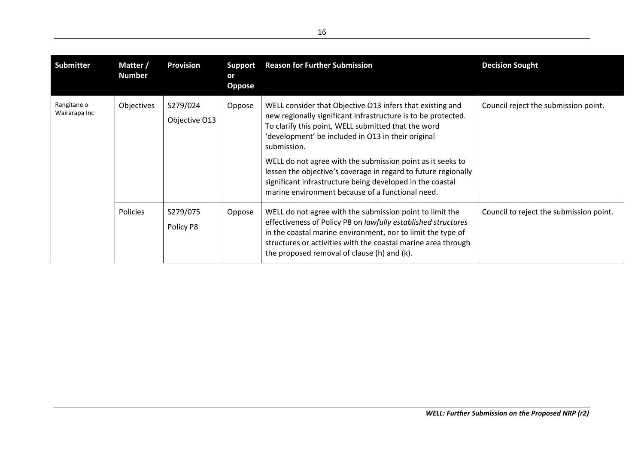| <b>Submitter</b>             | Matter /<br><b>Number</b> | <b>Provision</b>          | <b>Support</b><br>or<br><b>Oppose</b> | <b>Reason for Further Submission</b>                                                                                                                                                                                                                                                                                                                                                                                                                                                                    | <b>Decision Sought</b>                  |
|------------------------------|---------------------------|---------------------------|---------------------------------------|---------------------------------------------------------------------------------------------------------------------------------------------------------------------------------------------------------------------------------------------------------------------------------------------------------------------------------------------------------------------------------------------------------------------------------------------------------------------------------------------------------|-----------------------------------------|
| Rangitane o<br>Wairarapa Inc | Objectives                | S279/024<br>Objective O13 | Oppose                                | WELL consider that Objective O13 infers that existing and<br>new regionally significant infrastructure is to be protected.<br>To clarify this point, WELL submitted that the word<br>'development' be included in O13 in their original<br>submission.<br>WELL do not agree with the submission point as it seeks to<br>lessen the objective's coverage in regard to future regionally<br>significant infrastructure being developed in the coastal<br>marine environment because of a functional need. | Council reject the submission point.    |
|                              | <b>Policies</b>           | S279/075<br>Policy P8     | Oppose                                | WELL do not agree with the submission point to limit the<br>effectiveness of Policy P8 on lawfully established structures<br>in the coastal marine environment, nor to limit the type of<br>structures or activities with the coastal marine area through<br>the proposed removal of clause (h) and (k).                                                                                                                                                                                                | Council to reject the submission point. |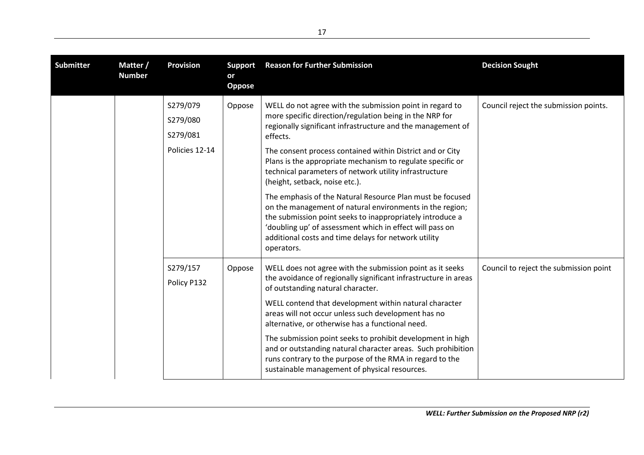| <b>Submitter</b> | Matter /<br><b>Number</b> | <b>Provision</b>                                   | <b>Support</b><br>or<br>Oppose | <b>Reason for Further Submission</b>                                                                                                                                                                                                                                                                                                                                                                                                                                                                                                                                                                                                                                                                                                          | <b>Decision Sought</b>                 |
|------------------|---------------------------|----------------------------------------------------|--------------------------------|-----------------------------------------------------------------------------------------------------------------------------------------------------------------------------------------------------------------------------------------------------------------------------------------------------------------------------------------------------------------------------------------------------------------------------------------------------------------------------------------------------------------------------------------------------------------------------------------------------------------------------------------------------------------------------------------------------------------------------------------------|----------------------------------------|
|                  |                           | S279/079<br>S279/080<br>S279/081<br>Policies 12-14 | Oppose                         | WELL do not agree with the submission point in regard to<br>more specific direction/regulation being in the NRP for<br>regionally significant infrastructure and the management of<br>effects.<br>The consent process contained within District and or City<br>Plans is the appropriate mechanism to regulate specific or<br>technical parameters of network utility infrastructure<br>(height, setback, noise etc.).<br>The emphasis of the Natural Resource Plan must be focused<br>on the management of natural environments in the region;<br>the submission point seeks to inappropriately introduce a<br>'doubling up' of assessment which in effect will pass on<br>additional costs and time delays for network utility<br>operators. | Council reject the submission points.  |
|                  |                           | S279/157<br>Policy P132                            | Oppose                         | WELL does not agree with the submission point as it seeks<br>the avoidance of regionally significant infrastructure in areas<br>of outstanding natural character.<br>WELL contend that development within natural character<br>areas will not occur unless such development has no<br>alternative, or otherwise has a functional need.<br>The submission point seeks to prohibit development in high<br>and or outstanding natural character areas. Such prohibition<br>runs contrary to the purpose of the RMA in regard to the<br>sustainable management of physical resources.                                                                                                                                                             | Council to reject the submission point |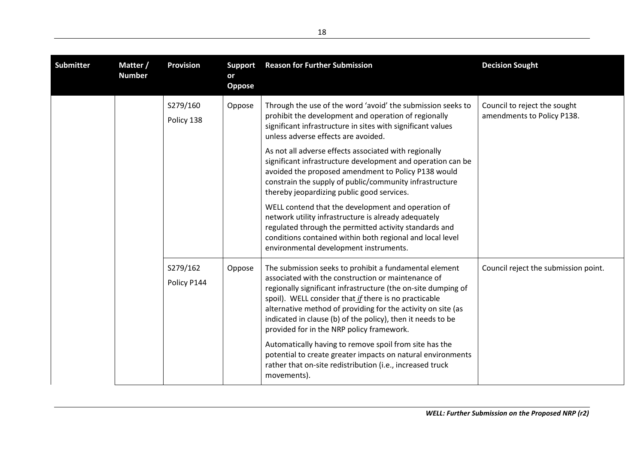| <b>Submitter</b> | Matter /<br><b>Number</b> | <b>Provision</b>        | <b>Support</b><br>or<br><b>Oppose</b> | <b>Reason for Further Submission</b>                                                                                                                                                                                                                                                                                                                                                                               | <b>Decision Sought</b>                                     |
|------------------|---------------------------|-------------------------|---------------------------------------|--------------------------------------------------------------------------------------------------------------------------------------------------------------------------------------------------------------------------------------------------------------------------------------------------------------------------------------------------------------------------------------------------------------------|------------------------------------------------------------|
|                  |                           | S279/160<br>Policy 138  | Oppose                                | Through the use of the word 'avoid' the submission seeks to<br>prohibit the development and operation of regionally<br>significant infrastructure in sites with significant values<br>unless adverse effects are avoided.                                                                                                                                                                                          | Council to reject the sought<br>amendments to Policy P138. |
|                  |                           |                         |                                       | As not all adverse effects associated with regionally<br>significant infrastructure development and operation can be<br>avoided the proposed amendment to Policy P138 would<br>constrain the supply of public/community infrastructure<br>thereby jeopardizing public good services.                                                                                                                               |                                                            |
|                  |                           |                         |                                       | WELL contend that the development and operation of<br>network utility infrastructure is already adequately<br>regulated through the permitted activity standards and<br>conditions contained within both regional and local level<br>environmental development instruments.                                                                                                                                        |                                                            |
|                  |                           | S279/162<br>Policy P144 | Oppose                                | The submission seeks to prohibit a fundamental element<br>associated with the construction or maintenance of<br>regionally significant infrastructure (the on-site dumping of<br>spoil). WELL consider that if there is no practicable<br>alternative method of providing for the activity on site (as<br>indicated in clause (b) of the policy), then it needs to be<br>provided for in the NRP policy framework. | Council reject the submission point.                       |
|                  |                           |                         |                                       | Automatically having to remove spoil from site has the<br>potential to create greater impacts on natural environments<br>rather that on-site redistribution (i.e., increased truck<br>movements).                                                                                                                                                                                                                  |                                                            |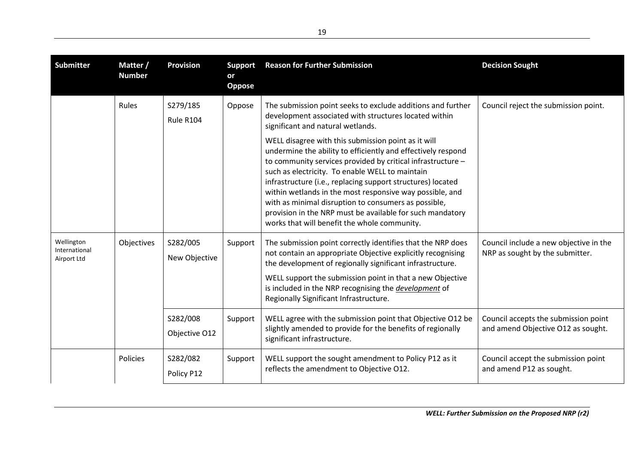| <b>Submitter</b>                           | Matter /<br><b>Number</b> | <b>Provision</b>          | <b>Support</b><br>or<br>Oppose | <b>Reason for Further Submission</b>                                                                                                                                                                                                                                                                                                                                                                                                                                                                                                  | <b>Decision Sought</b>                                                     |
|--------------------------------------------|---------------------------|---------------------------|--------------------------------|---------------------------------------------------------------------------------------------------------------------------------------------------------------------------------------------------------------------------------------------------------------------------------------------------------------------------------------------------------------------------------------------------------------------------------------------------------------------------------------------------------------------------------------|----------------------------------------------------------------------------|
|                                            | <b>Rules</b>              | S279/185<br>Rule R104     | Oppose                         | The submission point seeks to exclude additions and further<br>development associated with structures located within<br>significant and natural wetlands.                                                                                                                                                                                                                                                                                                                                                                             | Council reject the submission point.                                       |
|                                            |                           |                           |                                | WELL disagree with this submission point as it will<br>undermine the ability to efficiently and effectively respond<br>to community services provided by critical infrastructure -<br>such as electricity. To enable WELL to maintain<br>infrastructure (i.e., replacing support structures) located<br>within wetlands in the most responsive way possible, and<br>with as minimal disruption to consumers as possible,<br>provision in the NRP must be available for such mandatory<br>works that will benefit the whole community. |                                                                            |
| Wellington<br>International<br>Airport Ltd | Objectives                | S282/005<br>New Objective | Support                        | The submission point correctly identifies that the NRP does<br>not contain an appropriate Objective explicitly recognising<br>the development of regionally significant infrastructure.<br>WELL support the submission point in that a new Objective<br>is included in the NRP recognising the development of<br>Regionally Significant Infrastructure.                                                                                                                                                                               | Council include a new objective in the<br>NRP as sought by the submitter.  |
|                                            |                           | S282/008<br>Objective O12 | Support                        | WELL agree with the submission point that Objective O12 be<br>slightly amended to provide for the benefits of regionally<br>significant infrastructure.                                                                                                                                                                                                                                                                                                                                                                               | Council accepts the submission point<br>and amend Objective O12 as sought. |
|                                            | Policies                  | S282/082<br>Policy P12    | Support                        | WELL support the sought amendment to Policy P12 as it<br>reflects the amendment to Objective O12.                                                                                                                                                                                                                                                                                                                                                                                                                                     | Council accept the submission point<br>and amend P12 as sought.            |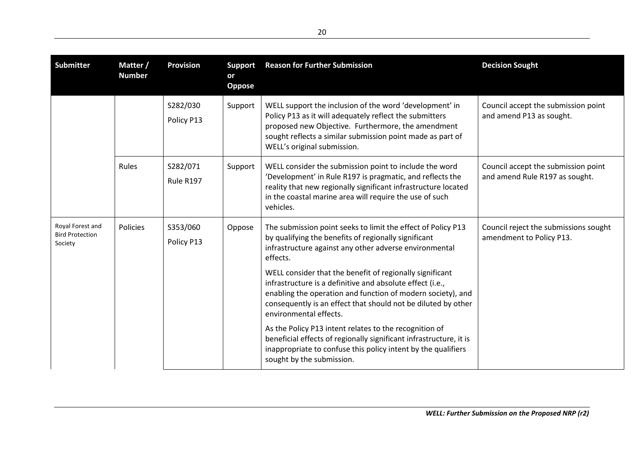| <b>Submitter</b>                                      | Matter /<br><b>Number</b> | <b>Provision</b>       | <b>Support</b><br>or<br>Oppose | <b>Reason for Further Submission</b>                                                                                                                                                                                                                                                                                                                                                                                                                                                                                                                                                                                                                                                                        | <b>Decision Sought</b>                                                |
|-------------------------------------------------------|---------------------------|------------------------|--------------------------------|-------------------------------------------------------------------------------------------------------------------------------------------------------------------------------------------------------------------------------------------------------------------------------------------------------------------------------------------------------------------------------------------------------------------------------------------------------------------------------------------------------------------------------------------------------------------------------------------------------------------------------------------------------------------------------------------------------------|-----------------------------------------------------------------------|
|                                                       |                           | S282/030<br>Policy P13 | Support                        | WELL support the inclusion of the word 'development' in<br>Policy P13 as it will adequately reflect the submitters<br>proposed new Objective. Furthermore, the amendment<br>sought reflects a similar submission point made as part of<br>WELL's original submission.                                                                                                                                                                                                                                                                                                                                                                                                                                       | Council accept the submission point<br>and amend P13 as sought.       |
|                                                       | Rules                     | S282/071<br>Rule R197  | Support                        | WELL consider the submission point to include the word<br>'Development' in Rule R197 is pragmatic, and reflects the<br>reality that new regionally significant infrastructure located<br>in the coastal marine area will require the use of such<br>vehicles.                                                                                                                                                                                                                                                                                                                                                                                                                                               | Council accept the submission point<br>and amend Rule R197 as sought. |
| Royal Forest and<br><b>Bird Protection</b><br>Society | Policies                  | S353/060<br>Policy P13 | Oppose                         | The submission point seeks to limit the effect of Policy P13<br>by qualifying the benefits of regionally significant<br>infrastructure against any other adverse environmental<br>effects.<br>WELL consider that the benefit of regionally significant<br>infrastructure is a definitive and absolute effect (i.e.,<br>enabling the operation and function of modern society), and<br>consequently is an effect that should not be diluted by other<br>environmental effects.<br>As the Policy P13 intent relates to the recognition of<br>beneficial effects of regionally significant infrastructure, it is<br>inappropriate to confuse this policy intent by the qualifiers<br>sought by the submission. | Council reject the submissions sought<br>amendment to Policy P13.     |